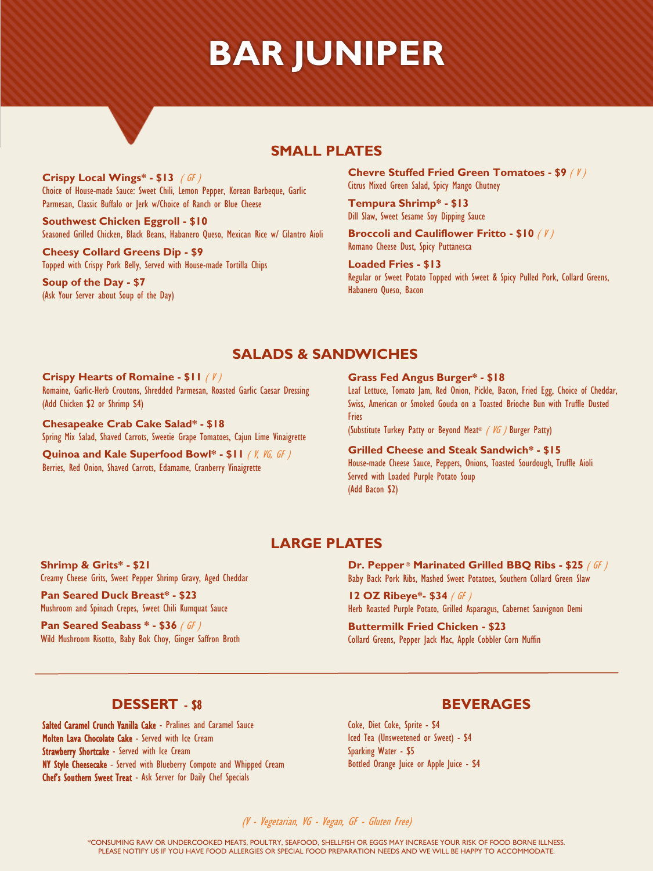# **BAR JUNIPER**

## **SMALL PLATES**

**Crispy Local Wings\* - \$13** ( GF ) Choice of House-made Sauce: Sweet Chili, Lemon Pepper, Korean Barbeque, Garlic Parmesan, Classic Buffalo or Jerk w/Choice of Ranch or Blue Cheese

**Southwest Chicken Eggroll - \$10** Seasoned Grilled Chicken, Black Beans, Habanero Queso, Mexican Rice w/ Cilantro Aioli

**Cheesy Collard Greens Dip - \$9** Topped with Crispy Pork Belly, Served with House-made Tortilla Chips

**Soup of the Day - \$7** (Ask Your Server about Soup of the Day) **Chevre Stuffed Fried Green Tomatoes - \$9** ( V ) Citrus Mixed Green Salad, Spicy Mango Chutney

**Tempura Shrimp\* - \$13** Dill Slaw, Sweet Sesame Soy Dipping Sauce

**Broccoli and Cauliflower Fritto - \$10** ( V ) Romano Cheese Dust, Spicy Puttanesca

**Loaded Fries - \$13** Regular or Sweet Potato Topped with Sweet & Spicy Pulled Pork, Collard Greens, Habanero Queso, Bacon

### **SALADS & SANDWICHES**

#### **Crispy Hearts of Romaine - \$11** ( V ) Romaine, Garlic-Herb Croutons, Shredded Parmesan, Roasted Garlic Caesar Dressing

(Add Chicken \$2 or Shrimp \$4)

**Chesapeake Crab Cake Salad\* - \$18**  Spring Mix Salad, Shaved Carrots, Sweetie Grape Tomatoes, Cajun Lime Vinaigrette

**Quinoa and Kale Superfood Bowl\* - \$11** ( V, VG, GF ) Berries, Red Onion, Shaved Carrots, Edamame, Cranberry Vinaigrette

#### **Grass Fed Angus Burger\* - \$18**

Leaf Lettuce, Tomato Jam, Red Onion, Pickle, Bacon, Fried Egg, Choice of Cheddar, Swiss, American or Smoked Gouda on a Toasted Brioche Bun with Truffle Dusted Fries

(Substitute Turkey Patty or Beyond Meat® ( VG ) Burger Patty)

#### **Grilled Cheese and Steak Sandwich\* - \$15** House-made Cheese Sauce, Peppers, Onions, Toasted Sourdough, Truffle Aioli Served with Loaded Purple Potato Soup (Add Bacon \$2)

## **LARGE PLATES**

**Shrimp & Grits\* - \$21** Creamy Cheese Grits, Sweet Pepper Shrimp Gravy, Aged Cheddar

**Pan Seared Duck Breast\* - \$23** Mushroom and Spinach Crepes, Sweet Chili Kumquat Sauce

**Pan Seared Seabass \* - \$36** ( GF ) Wild Mushroom Risotto, Baby Bok Choy, Ginger Saffron Broth **Dr. Pepper** ® **Marinated Grilled BBQ Ribs - \$25** ( GF ) Baby Back Pork Ribs, Mashed Sweet Potatoes, Southern Collard Green Slaw

**12 OZ Ribeye\*- \$34** ( GF ) Herb Roasted Purple Potato, Grilled Asparagus, Cabernet Sauvignon Demi

**Buttermilk Fried Chicken - \$23** Collard Greens, Pepper Jack Mac, Apple Cobbler Corn Muffin

### **DESSERT** - \$8

Salted Caramel Crunch Vanilla Cake - Pralines and Caramel Sauce Molten Lava Chocolate Cake - Served with Ice Cream Strawberry Shortcake - Served with Ice Cream NY Style Cheesecake - Served with Blueberry Compote and Whipped Cream Chef's Southern Sweet Treat - Ask Server for Daily Chef Specials

### **BEVERAGES**

Coke, Diet Coke, Sprite - \$4 Iced Tea (Unsweetened or Sweet) - \$4 Sparking Water - \$5 Bottled Orange Juice or Apple Juice - \$4

(V - Vegetarian, VG - Vegan, GF - Gluten Free)

\*CONSUMING RAW OR UNDERCOOKED MEATS, POULTRY, SEAFOOD, SHELLFISH OR EGGS MAY INCREASE YOUR RISK OF FOOD BORNE ILLNESS. PLEASE NOTIFY US IF YOU HAVE FOOD ALLERGIES OR SPECIAL FOOD PREPARATION NEEDS AND WE WILL BE HAPPY TO ACCOMMODATE.